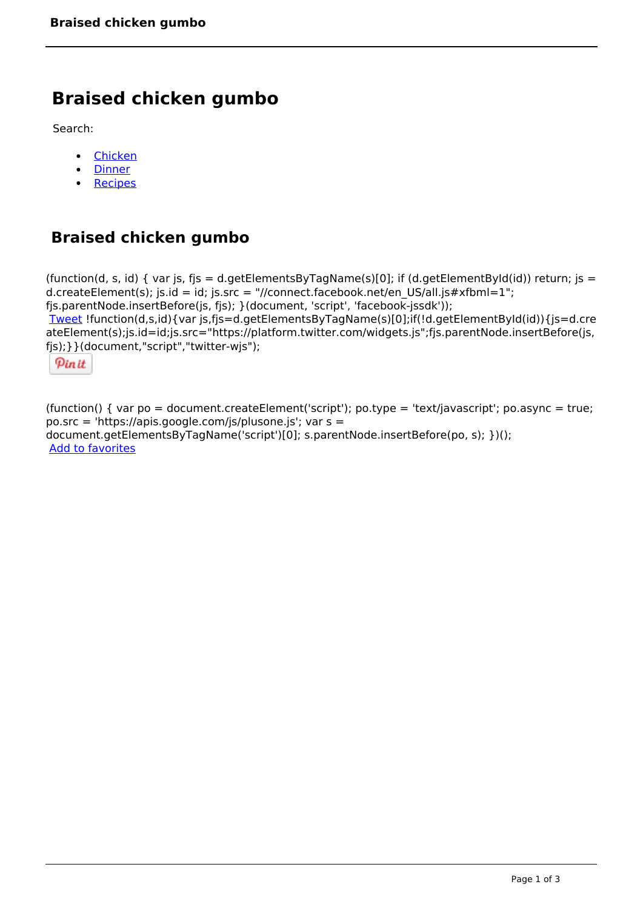# **Braised chicken gumbo**

Search:

- [Chicken](https://www.naturalhealthmag.com.au/nourish/chicken)  $\bullet$
- [Dinner](https://www.naturalhealthmag.com.au/nourish/dinner-ideas)  $\bullet$
- $\bullet$ **[Recipes](https://www.naturalhealthmag.com.au/nourish/recipes)**

# **Braised chicken gumbo**

```
(function(d, s, id) { var js, fjs = d.getElementsByTagName(s)[0]; if (d.getElementById(id)) return; js =
d.createElement(s); js.id = id; js.src = "//connect.facebook.net/en_US/all.js#xfbml=1";
fjs.parentNode.insertBefore(js, fjs); }(document, 'script', 'facebook-jssdk')); 
Tweet !function(d,s,id){var js,fjs=d.getElementsByTagName(s)[0];if(!d.getElementById(id)){js=d.cre
ateElement(s);js.id=id;js.src="https://platform.twitter.com/widgets.js";fjs.parentNode.insertBefore(js,
fjs);}}(document,"script","twitter-wjs"); 
 Pin it
```
(function() { var po = document.createElement('script'); po.type = 'text/javascript'; po.async = true; po.src = 'https://apis.google.com/js/plusone.js'; var s = document.getElementsByTagName('script')[0]; s.parentNode.insertBefore(po, s); })(); Add to favorites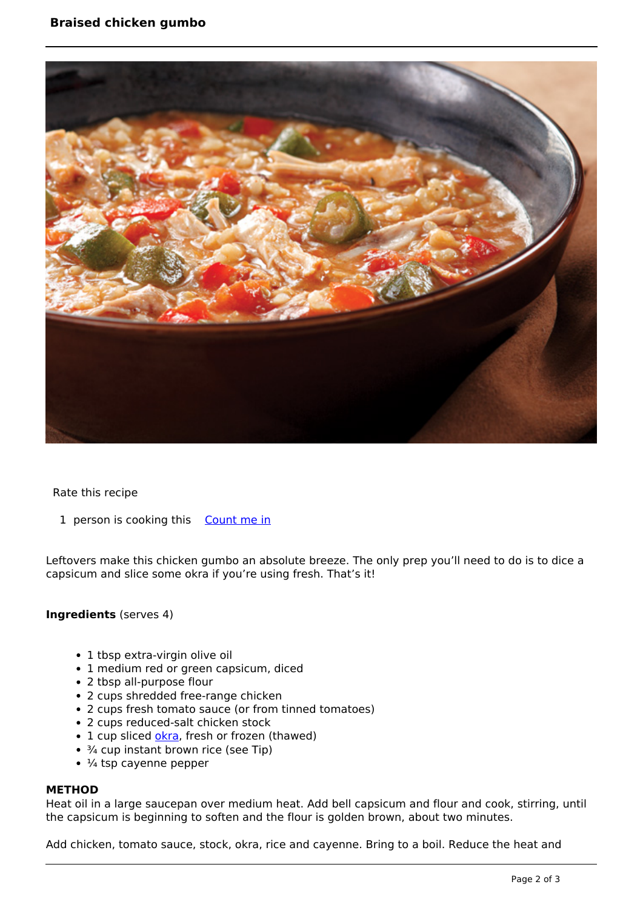

Rate this recipe

1 person is cooking this [Count me in](https://www.naturalhealthmag.com.au/flag/flag/favorites/747?destination=printpdf%2F747&token=520201842e57dfff0a6247163bda51a1)

Leftovers make this chicken gumbo an absolute breeze. The only prep you'll need to do is to dice a capsicum and slice some okra if you're using fresh. That's it!

## **Ingredients** (serves 4)

- 1 tbsp extra-virgin olive oil
- 1 medium red or green capsicum, diced
- 2 tbsp all-purpose flour
- 2 cups shredded free-range chicken
- 2 cups fresh tomato sauce (or from tinned tomatoes)
- 2 cups reduced-salt chicken stock
- 1 cup sliced [okra,](http://www.naturalhealthmag.com.au/nourish/okra-chickpea-tagine) fresh or frozen (thawed)
- ¾ cup instant brown rice (see Tip)
- $\cdot$  ¼ tsp cayenne pepper

#### **METHOD**

Heat oil in a large saucepan over medium heat. Add bell capsicum and flour and cook, stirring, until the capsicum is beginning to soften and the flour is golden brown, about two minutes.

Add chicken, tomato sauce, stock, okra, rice and cayenne. Bring to a boil. Reduce the heat and